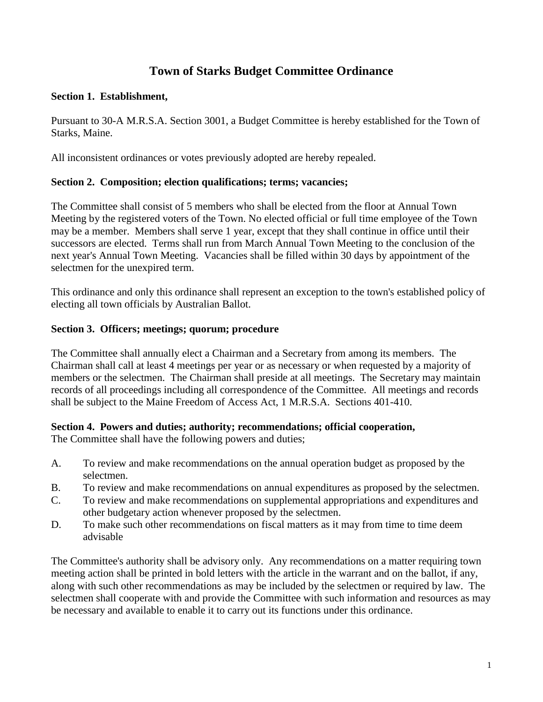# **Town of Starks Budget Committee Ordinance**

#### **Section 1. Establishment,**

Pursuant to 30-A M.R.S.A. Section 3001, a Budget Committee is hereby established for the Town of Starks, Maine.

All inconsistent ordinances or votes previously adopted are hereby repealed.

## **Section 2. Composition; election qualifications; terms; vacancies;**

The Committee shall consist of 5 members who shall be elected from the floor at Annual Town Meeting by the registered voters of the Town. No elected official or full time employee of the Town may be a member. Members shall serve 1 year, except that they shall continue in office until their successors are elected. Terms shall run from March Annual Town Meeting to the conclusion of the next year's Annual Town Meeting. Vacancies shall be filled within 30 days by appointment of the selectmen for the unexpired term.

This ordinance and only this ordinance shall represent an exception to the town's established policy of electing all town officials by Australian Ballot.

## **Section 3. Officers; meetings; quorum; procedure**

The Committee shall annually elect a Chairman and a Secretary from among its members. The Chairman shall call at least 4 meetings per year or as necessary or when requested by a majority of members or the selectmen. The Chairman shall preside at all meetings. The Secretary may maintain records of all proceedings including all correspondence of the Committee. All meetings and records shall be subject to the Maine Freedom of Access Act, 1 M.R.S.A. Sections 401-410.

## **Section 4. Powers and duties; authority; recommendations; official cooperation,**

The Committee shall have the following powers and duties;

- A. To review and make recommendations on the annual operation budget as proposed by the selectmen.
- B. To review and make recommendations on annual expenditures as proposed by the selectmen.
- C. To review and make recommendations on supplemental appropriations and expenditures and other budgetary action whenever proposed by the selectmen.
- D. To make such other recommendations on fiscal matters as it may from time to time deem advisable

The Committee's authority shall be advisory only. Any recommendations on a matter requiring town meeting action shall be printed in bold letters with the article in the warrant and on the ballot, if any, along with such other recommendations as may be included by the selectmen or required by law. The selectmen shall cooperate with and provide the Committee with such information and resources as may be necessary and available to enable it to carry out its functions under this ordinance.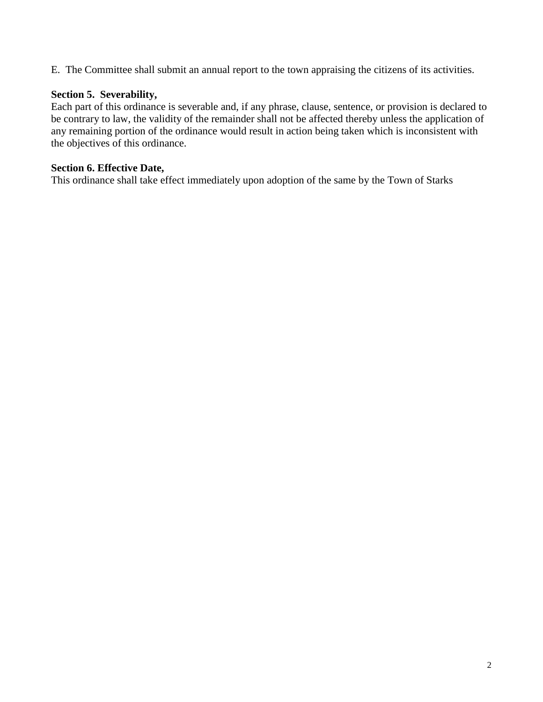E. The Committee shall submit an annual report to the town appraising the citizens of its activities.

#### **Section 5. Severability,**

Each part of this ordinance is severable and, if any phrase, clause, sentence, or provision is declared to be contrary to law, the validity of the remainder shall not be affected thereby unless the application of any remaining portion of the ordinance would result in action being taken which is inconsistent with the objectives of this ordinance.

## **Section 6. Effective Date,**

This ordinance shall take effect immediately upon adoption of the same by the Town of Starks